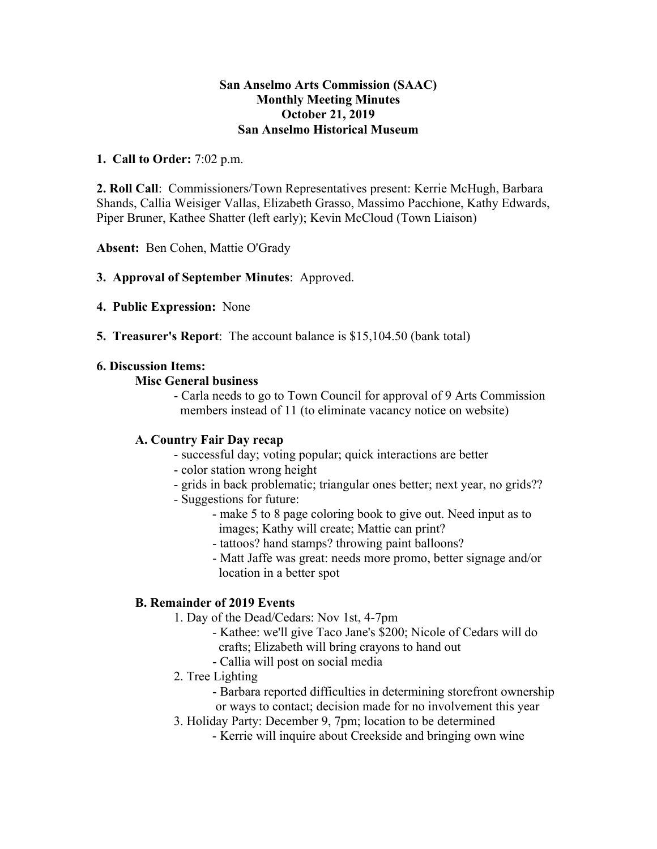#### **San Anselmo Arts Commission (SAAC) Monthly Meeting Minutes October 21, 2019 San Anselmo Historical Museum**

#### **1. Call to Order:** 7:02 p.m.

**2. Roll Call**: Commissioners/Town Representatives present: Kerrie McHugh, Barbara Shands, Callia Weisiger Vallas, Elizabeth Grasso, Massimo Pacchione, Kathy Edwards, Piper Bruner, Kathee Shatter (left early); Kevin McCloud (Town Liaison)

**Absent:** Ben Cohen, Mattie O'Grady

# **3. Approval of September Minutes**: Approved.

- **4. Public Expression:** None
- **5. Treasurer's Report**: The account balance is \$15,104.50 (bank total)

## **6. Discussion Items:**

## **Misc General business**

- Carla needs to go to Town Council for approval of 9 Arts Commission members instead of 11 (to eliminate vacancy notice on website)

# **A. Country Fair Day recap**

- successful day; voting popular; quick interactions are better
- color station wrong height
- grids in back problematic; triangular ones better; next year, no grids??
- Suggestions for future:
	- make 5 to 8 page coloring book to give out. Need input as to images; Kathy will create; Mattie can print?
	- tattoos? hand stamps? throwing paint balloons?
	- Matt Jaffe was great: needs more promo, better signage and/or location in a better spot

# **B. Remainder of 2019 Events**

- 1. Day of the Dead/Cedars: Nov 1st, 4-7pm
	- Kathee: we'll give Taco Jane's \$200; Nicole of Cedars will do crafts; Elizabeth will bring crayons to hand out
	- Callia will post on social media
- 2. Tree Lighting
	- Barbara reported difficulties in determining storefront ownership
	- or ways to contact; decision made for no involvement this year
- 3. Holiday Party: December 9, 7pm; location to be determined
	- Kerrie will inquire about Creekside and bringing own wine